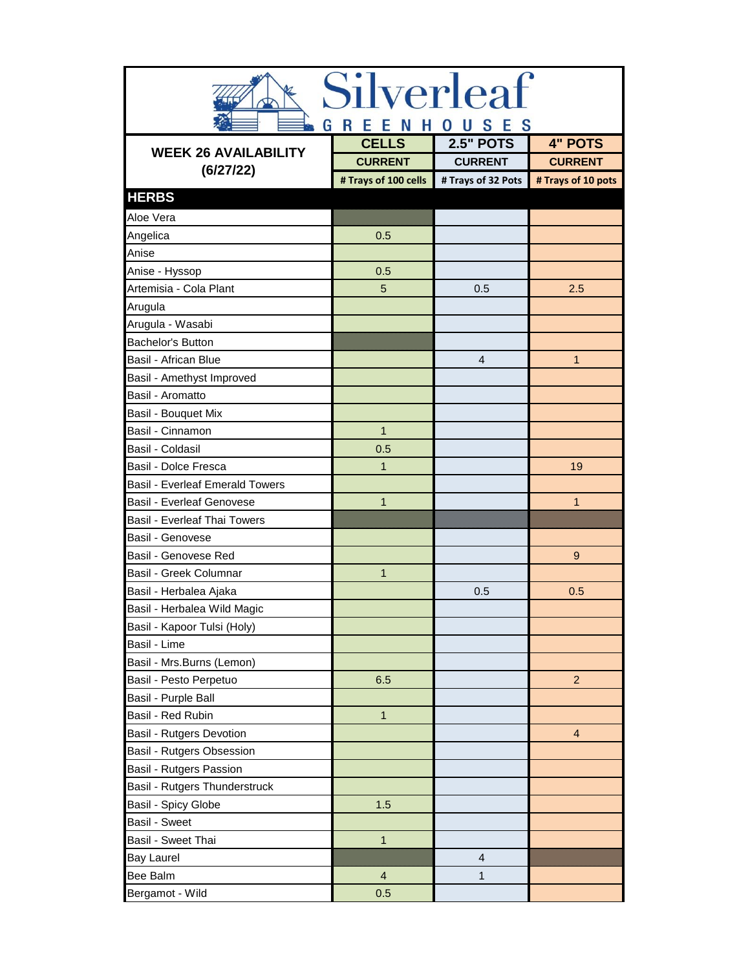| Silverleaf                                   |                      |                    |                    |
|----------------------------------------------|----------------------|--------------------|--------------------|
| R<br>Е<br>S<br><b>S</b><br>G<br>Е<br>н<br>-N |                      |                    |                    |
| <b>WEEK 26 AVAILABILITY</b>                  | <b>CELLS</b>         | <b>2.5" POTS</b>   | <b>4" POTS</b>     |
| (6/27/22)                                    | <b>CURRENT</b>       | <b>CURRENT</b>     | <b>CURRENT</b>     |
|                                              | # Trays of 100 cells | # Trays of 32 Pots | # Trays of 10 pots |
| <b>HERBS</b>                                 |                      |                    |                    |
| Aloe Vera                                    |                      |                    |                    |
| Angelica                                     | 0.5                  |                    |                    |
| Anise                                        |                      |                    |                    |
| Anise - Hyssop                               | 0.5                  |                    |                    |
| Artemisia - Cola Plant                       | 5                    | 0.5                | 2.5                |
| Arugula                                      |                      |                    |                    |
| Arugula - Wasabi                             |                      |                    |                    |
| <b>Bachelor's Button</b>                     |                      |                    |                    |
| Basil - African Blue                         |                      | 4                  | $\mathbf{1}$       |
| Basil - Amethyst Improved                    |                      |                    |                    |
| Basil - Aromatto                             |                      |                    |                    |
| Basil - Bouquet Mix                          |                      |                    |                    |
| Basil - Cinnamon                             | $\mathbf{1}$         |                    |                    |
| Basil - Coldasil                             | 0.5                  |                    |                    |
| Basil - Dolce Fresca                         | $\mathbf{1}$         |                    | 19                 |
| <b>Basil - Everleaf Emerald Towers</b>       |                      |                    |                    |
| <b>Basil - Everleaf Genovese</b>             | $\mathbf{1}$         |                    | $\mathbf{1}$       |
| <b>Basil - Everleaf Thai Towers</b>          |                      |                    |                    |
| Basil - Genovese                             |                      |                    |                    |
| Basil - Genovese Red                         |                      |                    | 9                  |
| Basil - Greek Columnar                       | $\mathbf{1}$         |                    |                    |
| Basil - Herbalea Ajaka                       |                      | 0.5                | 0.5                |
| Basil - Herbalea Wild Magic                  |                      |                    |                    |
| Basil - Kapoor Tulsi (Holy)                  |                      |                    |                    |
| Basil - Lime                                 |                      |                    |                    |
| Basil - Mrs.Burns (Lemon)                    |                      |                    |                    |
| Basil - Pesto Perpetuo                       | 6.5                  |                    | $\overline{2}$     |
| Basil - Purple Ball                          |                      |                    |                    |
| Basil - Red Rubin                            | $\mathbf{1}$         |                    |                    |
| Basil - Rutgers Devotion                     |                      |                    | $\overline{4}$     |
| Basil - Rutgers Obsession                    |                      |                    |                    |
| Basil - Rutgers Passion                      |                      |                    |                    |
| Basil - Rutgers Thunderstruck                |                      |                    |                    |
| Basil - Spicy Globe                          | 1.5                  |                    |                    |
| Basil - Sweet                                |                      |                    |                    |
| Basil - Sweet Thai                           | $\mathbf{1}$         |                    |                    |
| <b>Bay Laurel</b>                            |                      | $\overline{4}$     |                    |
| Bee Balm                                     | $\overline{4}$       | 1                  |                    |
| Bergamot - Wild                              | 0.5                  |                    |                    |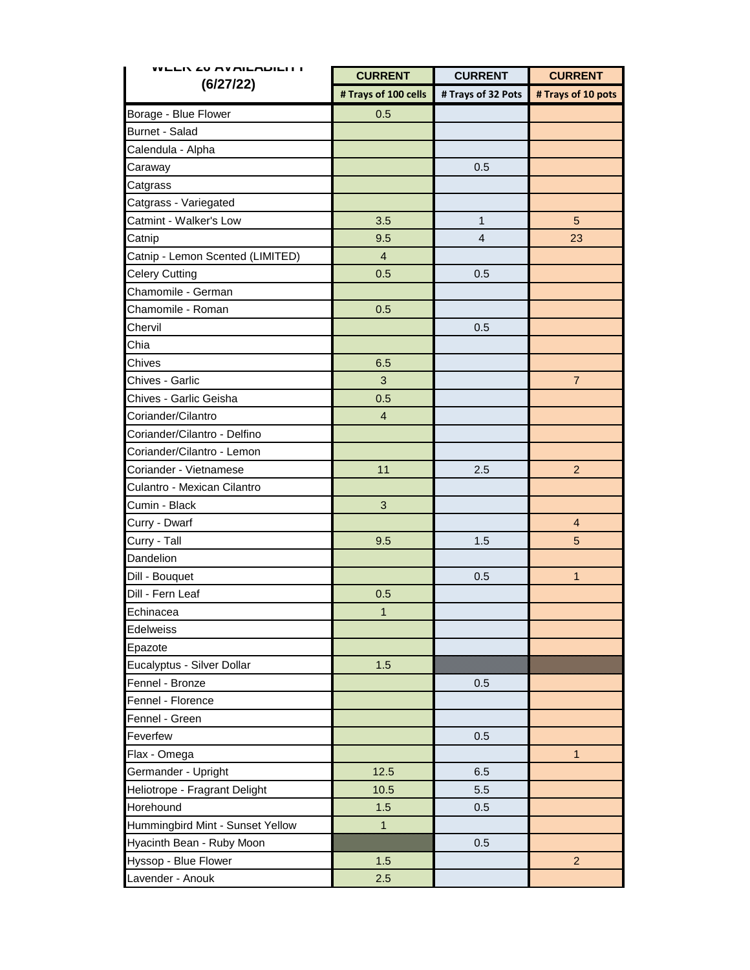| WEER ZU AVAILADILI I<br>(6/27/22) | <b>CURRENT</b>       | <b>CURRENT</b>     | <b>CURRENT</b>     |
|-----------------------------------|----------------------|--------------------|--------------------|
|                                   | # Trays of 100 cells | # Trays of 32 Pots | # Trays of 10 pots |
| Borage - Blue Flower              | 0.5                  |                    |                    |
| Burnet - Salad                    |                      |                    |                    |
| Calendula - Alpha                 |                      |                    |                    |
| Caraway                           |                      | 0.5                |                    |
| Catgrass                          |                      |                    |                    |
| Catgrass - Variegated             |                      |                    |                    |
| Catmint - Walker's Low            | 3.5                  | $\mathbf{1}$       | 5                  |
| Catnip                            | 9.5                  | $\overline{4}$     | 23                 |
| Catnip - Lemon Scented (LIMITED)  | $\overline{4}$       |                    |                    |
| <b>Celery Cutting</b>             | 0.5                  | 0.5                |                    |
| Chamomile - German                |                      |                    |                    |
| Chamomile - Roman                 | 0.5                  |                    |                    |
| Chervil                           |                      | 0.5                |                    |
| Chia                              |                      |                    |                    |
| Chives                            | 6.5                  |                    |                    |
| Chives - Garlic                   | 3                    |                    | $\overline{7}$     |
| Chives - Garlic Geisha            | 0.5                  |                    |                    |
| Coriander/Cilantro                | $\overline{4}$       |                    |                    |
| Coriander/Cilantro - Delfino      |                      |                    |                    |
| Coriander/Cilantro - Lemon        |                      |                    |                    |
| Coriander - Vietnamese            | 11                   | 2.5                | 2                  |
| Culantro - Mexican Cilantro       |                      |                    |                    |
| Cumin - Black                     | $\mathbf{3}$         |                    |                    |
| Curry - Dwarf                     |                      |                    | 4                  |
| Curry - Tall                      | 9.5                  | 1.5                | 5                  |
| Dandelion                         |                      |                    |                    |
| Dill - Bouquet                    |                      | 0.5                | $\mathbf{1}$       |
| Dill - Fern Leaf                  | 0.5                  |                    |                    |
| Echinacea                         | 1                    |                    |                    |
| <b>Edelweiss</b>                  |                      |                    |                    |
| Epazote                           |                      |                    |                    |
| Eucalyptus - Silver Dollar        | 1.5                  |                    |                    |
| Fennel - Bronze                   |                      | 0.5                |                    |
| Fennel - Florence                 |                      |                    |                    |
| Fennel - Green                    |                      |                    |                    |
| Feverfew                          |                      | 0.5                |                    |
| Flax - Omega                      |                      |                    | $\mathbf{1}$       |
| Germander - Upright               | 12.5                 | 6.5                |                    |
| Heliotrope - Fragrant Delight     | 10.5                 | 5.5                |                    |
| Horehound                         | 1.5                  | 0.5                |                    |
| Hummingbird Mint - Sunset Yellow  | $\overline{1}$       |                    |                    |
| Hyacinth Bean - Ruby Moon         |                      | 0.5                |                    |
| Hyssop - Blue Flower              | 1.5                  |                    | 2                  |
| Lavender - Anouk                  | 2.5                  |                    |                    |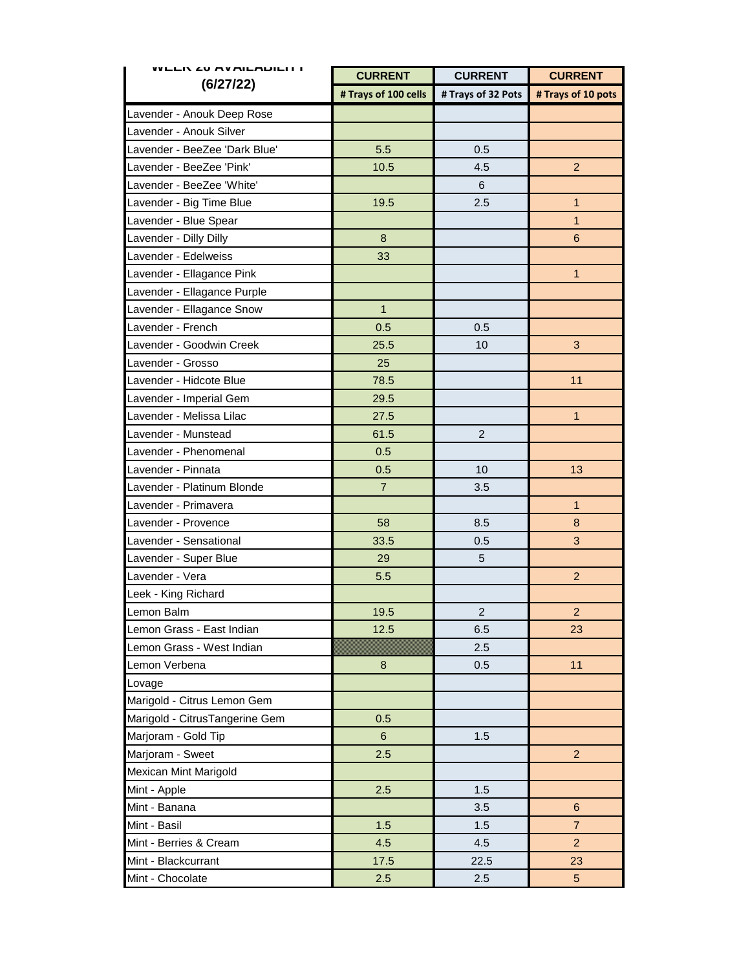| WEER ZU AVAILADILI I<br>(6/27/22) | <b>CURRENT</b>       | <b>CURRENT</b>     | <b>CURRENT</b>     |
|-----------------------------------|----------------------|--------------------|--------------------|
|                                   | # Trays of 100 cells | # Trays of 32 Pots | # Trays of 10 pots |
| Lavender - Anouk Deep Rose        |                      |                    |                    |
| Lavender - Anouk Silver           |                      |                    |                    |
| Lavender - BeeZee 'Dark Blue'     | 5.5                  | 0.5                |                    |
| Lavender - BeeZee 'Pink'          | 10.5                 | 4.5                | $\overline{2}$     |
| Lavender - BeeZee 'White'         |                      | 6                  |                    |
| Lavender - Big Time Blue          | 19.5                 | 2.5                | $\mathbf{1}$       |
| Lavender - Blue Spear             |                      |                    | $\mathbf{1}$       |
| Lavender - Dilly Dilly            | $\boldsymbol{8}$     |                    | $\,6$              |
| Lavender - Edelweiss              | 33                   |                    |                    |
| Lavender - Ellagance Pink         |                      |                    | $\mathbf{1}$       |
| Lavender - Ellagance Purple       |                      |                    |                    |
| Lavender - Ellagance Snow         | $\mathbf{1}$         |                    |                    |
| Lavender - French                 | 0.5                  | 0.5                |                    |
| Lavender - Goodwin Creek          | 25.5                 | 10                 | 3                  |
| Lavender - Grosso                 | 25                   |                    |                    |
| Lavender - Hidcote Blue           | 78.5                 |                    | 11                 |
| Lavender - Imperial Gem           | 29.5                 |                    |                    |
| Lavender - Melissa Lilac          | 27.5                 |                    | $\mathbf{1}$       |
| Lavender - Munstead               | 61.5                 | $\overline{c}$     |                    |
| Lavender - Phenomenal             | 0.5                  |                    |                    |
| Lavender - Pinnata                | 0.5                  | 10                 | 13                 |
| Lavender - Platinum Blonde        | $\overline{7}$       | 3.5                |                    |
| Lavender - Primavera              |                      |                    | $\mathbf{1}$       |
| Lavender - Provence               | 58                   | 8.5                | 8                  |
| Lavender - Sensational            | 33.5                 | 0.5                | 3                  |
| Lavender - Super Blue             | 29                   | 5                  |                    |
| Lavender - Vera                   | 5.5                  |                    | $\overline{c}$     |
| Leek - King Richard               |                      |                    |                    |
| Lemon Balm                        | 19.5                 | $\overline{c}$     | $\overline{a}$     |
| Lemon Grass - East Indian         | 12.5                 | 6.5                | 23                 |
| Lemon Grass - West Indian         |                      | 2.5                |                    |
| Lemon Verbena                     | 8                    | 0.5                | 11                 |
| Lovage                            |                      |                    |                    |
| Marigold - Citrus Lemon Gem       |                      |                    |                    |
| Marigold - CitrusTangerine Gem    | 0.5                  |                    |                    |
| Marjoram - Gold Tip               | $6\phantom{1}$       | 1.5                |                    |
| Marjoram - Sweet                  | 2.5                  |                    | $\overline{2}$     |
| Mexican Mint Marigold             |                      |                    |                    |
| Mint - Apple                      | 2.5                  | 1.5                |                    |
| Mint - Banana                     |                      | 3.5                | $6\phantom{1}$     |
| Mint - Basil                      | 1.5                  | 1.5                | $\overline{7}$     |
| Mint - Berries & Cream            | 4.5                  | 4.5                | $\overline{2}$     |
| Mint - Blackcurrant               | 17.5                 | 22.5               | 23                 |
| Mint - Chocolate                  | 2.5                  | 2.5                | 5 <sub>5</sub>     |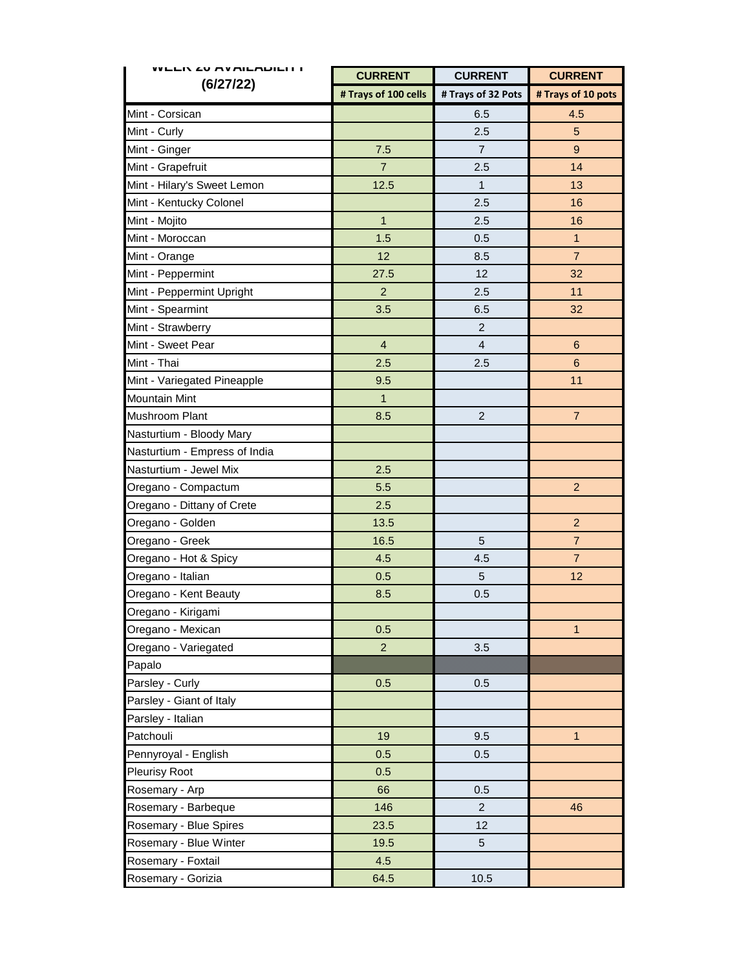| WEEN ZU MYMILMDILITT          | <b>CURRENT</b>          | <b>CURRENT</b>     | <b>CURRENT</b>     |
|-------------------------------|-------------------------|--------------------|--------------------|
| (6/27/22)                     | # Trays of 100 cells    | # Trays of 32 Pots | # Trays of 10 pots |
| Mint - Corsican               |                         | 6.5                | 4.5                |
| Mint - Curly                  |                         | 2.5                | 5                  |
| Mint - Ginger                 | 7.5                     | $\overline{7}$     | 9                  |
| Mint - Grapefruit             | $\overline{7}$          | 2.5                | 14                 |
| Mint - Hilary's Sweet Lemon   | 12.5                    | $\mathbf{1}$       | 13                 |
| Mint - Kentucky Colonel       |                         | 2.5                | 16                 |
| Mint - Mojito                 | $\mathbf{1}$            | 2.5                | 16                 |
| Mint - Moroccan               | 1.5                     | 0.5                | $\overline{1}$     |
| Mint - Orange                 | 12                      | 8.5                | $\overline{7}$     |
| Mint - Peppermint             | 27.5                    | 12                 | 32                 |
| Mint - Peppermint Upright     | $\overline{2}$          | 2.5                | 11                 |
| Mint - Spearmint              | 3.5                     | 6.5                | 32                 |
| Mint - Strawberry             |                         | $\overline{2}$     |                    |
| Mint - Sweet Pear             | $\overline{\mathbf{4}}$ | $\overline{4}$     | $6\phantom{1}$     |
| Mint - Thai                   | 2.5                     | 2.5                | $\boldsymbol{6}$   |
| Mint - Variegated Pineapple   | 9.5                     |                    | 11                 |
| <b>Mountain Mint</b>          | $\mathbf{1}$            |                    |                    |
| Mushroom Plant                | 8.5                     | $\overline{2}$     | $\overline{7}$     |
| Nasturtium - Bloody Mary      |                         |                    |                    |
| Nasturtium - Empress of India |                         |                    |                    |
| Nasturtium - Jewel Mix        | 2.5                     |                    |                    |
| Oregano - Compactum           | 5.5                     |                    | $\overline{2}$     |
| Oregano - Dittany of Crete    | 2.5                     |                    |                    |
| Oregano - Golden              | 13.5                    |                    | $\overline{2}$     |
| Oregano - Greek               | 16.5                    | 5                  | $\overline{7}$     |
| Oregano - Hot & Spicy         | 4.5                     | 4.5                | $\overline{7}$     |
| Oregano - Italian             | 0.5                     | 5                  | 12                 |
| Oregano - Kent Beauty         | 8.5                     | 0.5                |                    |
| Oregano - Kirigami            |                         |                    |                    |
| Oregano - Mexican             | 0.5                     |                    | $\mathbf{1}$       |
| Oregano - Variegated          | $\overline{2}$          | 3.5                |                    |
| Papalo                        |                         |                    |                    |
| Parsley - Curly               | 0.5                     | 0.5                |                    |
| Parsley - Giant of Italy      |                         |                    |                    |
| Parsley - Italian             |                         |                    |                    |
| Patchouli                     | 19                      | 9.5                | $\mathbf{1}$       |
| Pennyroyal - English          | 0.5                     | 0.5                |                    |
| Pleurisy Root                 | 0.5                     |                    |                    |
| Rosemary - Arp                | 66                      | 0.5                |                    |
| Rosemary - Barbeque           | 146                     | $\overline{2}$     | 46                 |
| Rosemary - Blue Spires        | 23.5                    | 12                 |                    |
| Rosemary - Blue Winter        | 19.5                    | 5                  |                    |
| Rosemary - Foxtail            | 4.5                     |                    |                    |
| Rosemary - Gorizia            | 64.5                    | 10.5               |                    |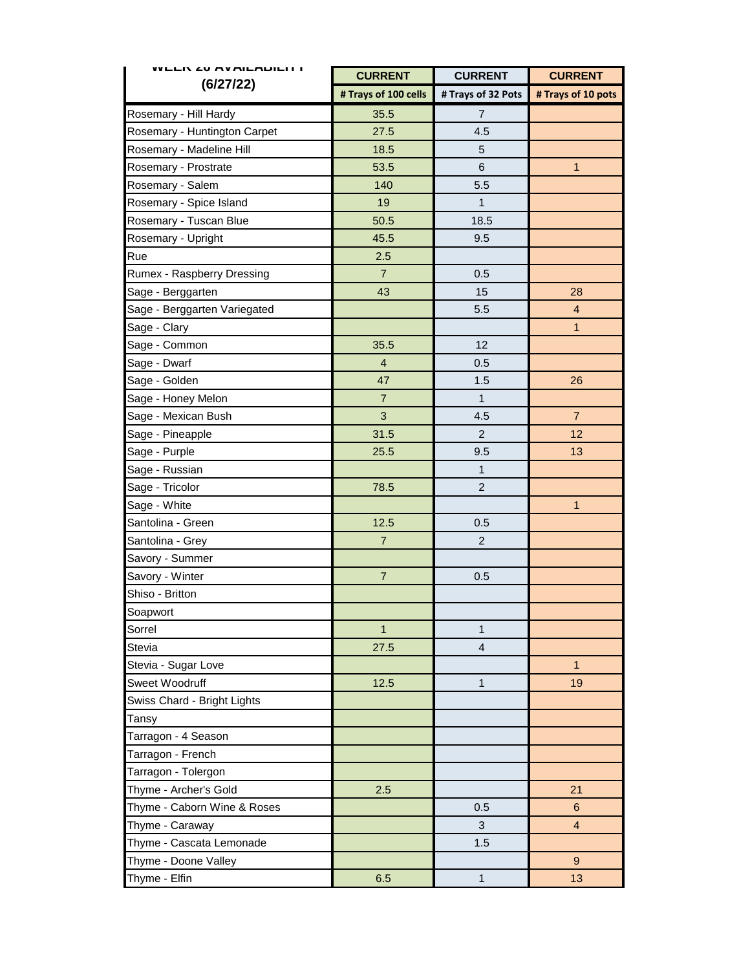| <b>WEER ZU MYMILMDILITT</b>  | <b>CURRENT</b>          | <b>CURRENT</b>     | <b>CURRENT</b>     |
|------------------------------|-------------------------|--------------------|--------------------|
| (6/27/22)                    | # Trays of 100 cells    | # Trays of 32 Pots | # Trays of 10 pots |
| Rosemary - Hill Hardy        | 35.5                    | 7                  |                    |
| Rosemary - Huntington Carpet | 27.5                    | 4.5                |                    |
| Rosemary - Madeline Hill     | 18.5                    | 5                  |                    |
| Rosemary - Prostrate         | 53.5                    | 6                  | $\mathbf{1}$       |
| Rosemary - Salem             | 140                     | 5.5                |                    |
| Rosemary - Spice Island      | 19                      | 1                  |                    |
| Rosemary - Tuscan Blue       | 50.5                    | 18.5               |                    |
| Rosemary - Upright           | 45.5                    | 9.5                |                    |
| Rue                          | 2.5                     |                    |                    |
| Rumex - Raspberry Dressing   | $\overline{7}$          | 0.5                |                    |
| Sage - Berggarten            | 43                      | 15                 | 28                 |
| Sage - Berggarten Variegated |                         | 5.5                | $\overline{4}$     |
| Sage - Clary                 |                         |                    | $\mathbf{1}$       |
| Sage - Common                | 35.5                    | 12                 |                    |
| Sage - Dwarf                 | $\overline{\mathbf{4}}$ | 0.5                |                    |
| Sage - Golden                | 47                      | 1.5                | 26                 |
| Sage - Honey Melon           | $\overline{7}$          | $\mathbf{1}$       |                    |
| Sage - Mexican Bush          | 3                       | 4.5                | $\overline{7}$     |
| Sage - Pineapple             | 31.5                    | $\overline{2}$     | 12                 |
| Sage - Purple                | 25.5                    | 9.5                | 13                 |
| Sage - Russian               |                         | $\mathbf{1}$       |                    |
| Sage - Tricolor              | 78.5                    | $\overline{2}$     |                    |
| Sage - White                 |                         |                    | $\mathbf{1}$       |
| Santolina - Green            | 12.5                    | 0.5                |                    |
| Santolina - Grey             | $\overline{7}$          | $\overline{c}$     |                    |
| Savory - Summer              |                         |                    |                    |
| Savory - Winter              | $\overline{7}$          | 0.5                |                    |
| Shiso - Britton              |                         |                    |                    |
| Soapwort                     |                         |                    |                    |
| Sorrel                       | $\mathbf{1}$            | 1                  |                    |
| <b>Stevia</b>                | 27.5                    | $\overline{4}$     |                    |
| Stevia - Sugar Love          |                         |                    | $\mathbf{1}$       |
| Sweet Woodruff               | 12.5                    | $\mathbf{1}$       | 19                 |
| Swiss Chard - Bright Lights  |                         |                    |                    |
| Tansy                        |                         |                    |                    |
| Tarragon - 4 Season          |                         |                    |                    |
| Tarragon - French            |                         |                    |                    |
| Tarragon - Tolergon          |                         |                    |                    |
| Thyme - Archer's Gold        | 2.5                     |                    | 21                 |
| Thyme - Caborn Wine & Roses  |                         | 0.5                | 6                  |
| Thyme - Caraway              |                         | 3                  | $\overline{4}$     |
| Thyme - Cascata Lemonade     |                         | 1.5                |                    |
| Thyme - Doone Valley         |                         |                    | 9                  |
| Thyme - Elfin                | 6.5                     | $\mathbf{1}$       | 13                 |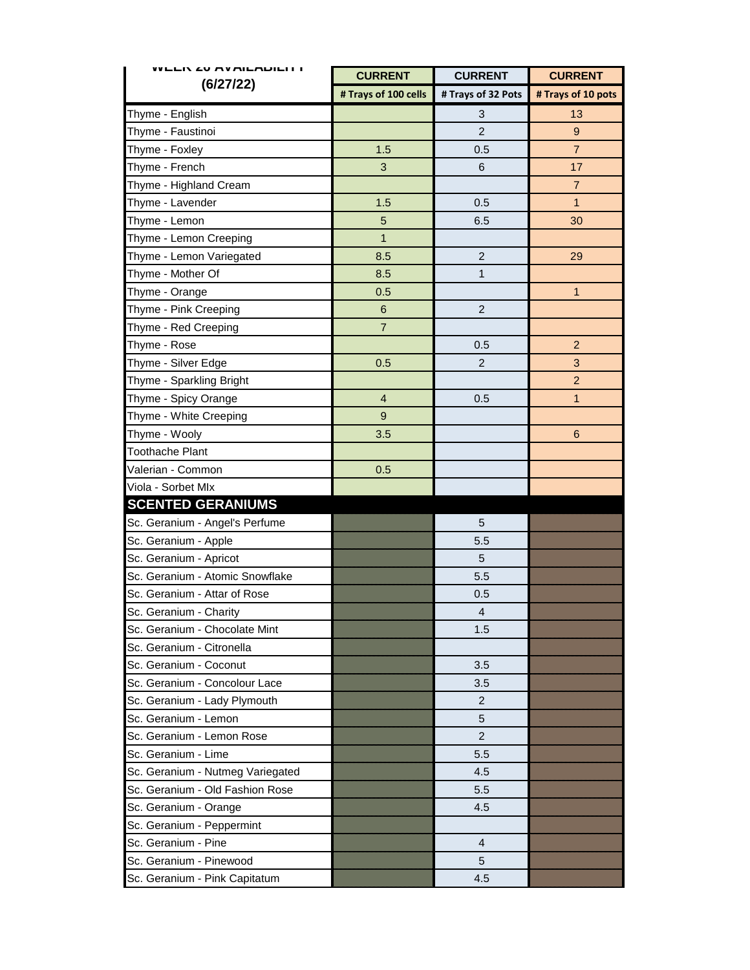| WEEN ZU MYMILMDILI I              | <b>CURRENT</b> | <b>CURRENT</b>     | <b>CURRENT</b>     |  |
|-----------------------------------|----------------|--------------------|--------------------|--|
| (6/27/22)<br># Trays of 100 cells |                | # Trays of 32 Pots | # Trays of 10 pots |  |
| Thyme - English                   |                | 3                  | 13                 |  |
| Thyme - Faustinoi                 |                | $\overline{2}$     | 9                  |  |
| Thyme - Foxley                    | 1.5            | 0.5                | $\overline{7}$     |  |
| Thyme - French                    | 3              | 6                  | 17                 |  |
| Thyme - Highland Cream            |                |                    | $\overline{7}$     |  |
| Thyme - Lavender                  | 1.5            | 0.5                | $\mathbf{1}$       |  |
| Thyme - Lemon                     | 5              | 6.5                | 30                 |  |
| Thyme - Lemon Creeping            | $\mathbf{1}$   |                    |                    |  |
| Thyme - Lemon Variegated          | 8.5            | $\overline{2}$     | 29                 |  |
| Thyme - Mother Of                 | 8.5            | $\mathbf{1}$       |                    |  |
| Thyme - Orange                    | 0.5            |                    | $\mathbf{1}$       |  |
| Thyme - Pink Creeping             | $\,6$          | $\overline{c}$     |                    |  |
| Thyme - Red Creeping              | $\overline{7}$ |                    |                    |  |
| Thyme - Rose                      |                | 0.5                | $\overline{2}$     |  |
| Thyme - Silver Edge               | 0.5            | $\overline{c}$     | 3                  |  |
| Thyme - Sparkling Bright          |                |                    | $\overline{2}$     |  |
| Thyme - Spicy Orange              | $\overline{4}$ | 0.5                | 1                  |  |
| Thyme - White Creeping            | 9              |                    |                    |  |
| Thyme - Wooly                     | 3.5            |                    | $6\phantom{1}6$    |  |
| <b>Toothache Plant</b>            |                |                    |                    |  |
| Valerian - Common                 | 0.5            |                    |                    |  |
| Viola - Sorbet Mlx                |                |                    |                    |  |
| <b>SCENTED GERANIUMS</b>          |                |                    |                    |  |
| Sc. Geranium - Angel's Perfume    |                | 5                  |                    |  |
| Sc. Geranium - Apple              |                | 5.5                |                    |  |
| Sc. Geranium - Apricot            |                | 5                  |                    |  |
| Sc. Geranium - Atomic Snowflake   |                | 5.5                |                    |  |
| Sc. Geranium - Attar of Rose      |                | 0.5                |                    |  |
| Sc. Geranium - Charity            |                | 4                  |                    |  |
| Sc. Geranium - Chocolate Mint     |                | 1.5                |                    |  |
| Sc. Geranium - Citronella         |                |                    |                    |  |
| Sc. Geranium - Coconut            |                | 3.5                |                    |  |
| Sc. Geranium - Concolour Lace     |                | 3.5                |                    |  |
| Sc. Geranium - Lady Plymouth      |                | $\overline{2}$     |                    |  |
| Sc. Geranium - Lemon              |                | 5                  |                    |  |
| Sc. Geranium - Lemon Rose         |                | $\overline{c}$     |                    |  |
| Sc. Geranium - Lime               |                | 5.5                |                    |  |
| Sc. Geranium - Nutmeg Variegated  |                | 4.5                |                    |  |
| Sc. Geranium - Old Fashion Rose   |                | 5.5                |                    |  |
| Sc. Geranium - Orange             |                | 4.5                |                    |  |
| Sc. Geranium - Peppermint         |                |                    |                    |  |
| Sc. Geranium - Pine               |                | 4                  |                    |  |
| Sc. Geranium - Pinewood           |                | 5                  |                    |  |
| Sc. Geranium - Pink Capitatum     |                | 4.5                |                    |  |